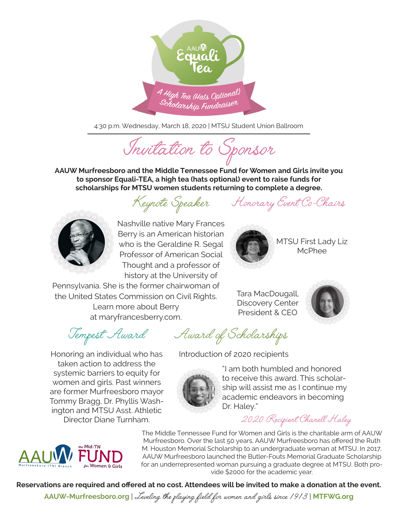

4:30 p.m. Wednesday, March 18, 2020 | MTSU Student Union Ballroom

Invitation to Sponsor

**AAUW Murfreesboro and the Middle Tennessee Fund for Women and Girls invite you to sponsor Equali-TEA, a high tea (hats optional) event to raise funds for scholarships for MTSU women students returning to complete a degree.**

Keynote Speaker Honorary Event Co-Chairs

MTSU First Lady Liz McPhee



Nashville native Mary Frances Berry is an American historian who is the Geraldine R. Segal Professor of American Social Thought and a professor of history at the University of

Pennsylvania. She is the former chairwoman of

the United States Commission on Civil Rights. Learn more about Berry at maryfrancesberry.com.

Tempest Award

Honoring an individual who has taken action to address the systemic barriers to equity for women and girls. Past winners are former Murfreesboro mayor Tommy Bragg, Dr. Phyllis Washington and MTSU Asst. Athletic Director Diane Turnham.

Award of Scholarships

Introduction of 2020 recipients



"I am both humbled and honored to receive this award. This scholarship will assist me as I continue my academic endeavors in becoming Dr. Haley."

2020 Recipient Chanell Haley



The Middle Tennessee Fund for Women and Girls is the charitable arm of AAUW Murfreesboro. Over the last 50 years, AAUW Murfreesboro has offered the Ruth M. Houston Memorial Scholarship to an undergraduate woman at MTSU. In 2017, AAUW Murfreesboro launched the Butler-Fouts Memorial Graduate Scholarship for an underrepresented woman pursuing a graduate degree at MTSU. Both provide \$2000 for the academic year.

**Reservations are required and offered at no cost. Attendees will be invited to make a donation at the event.** 

**AAUW-Murfreesboro.org**<sup>|</sup>Leveling the playing field for women and girls since 1913<sup>|</sup>**MTFWG.org**



Tara MacDougall, Discovery Center President & CEO